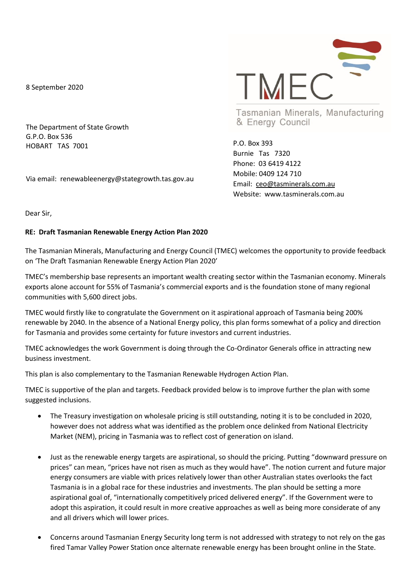8 September 2020

The Department of State Growth G.P.O. Box 536 HOBART TAS 7001

Via email: renewableenergy@stategrowth.tas.gov.au



Tasmanian Minerals, Manufacturing & Energy Council

P.O. Box 393 Burnie Tas 7320 Phone: 03 6419 4122 Mobile: 0409 124 710 Email: [ceo@tasminerals.com.au](mailto:ceo@tasminerals.com.au) Website: www.tasminerals.com.au

Dear Sir,

## **RE: Draft Tasmanian Renewable Energy Action Plan 2020**

The Tasmanian Minerals, Manufacturing and Energy Council (TMEC) welcomes the opportunity to provide feedback on 'The Draft Tasmanian Renewable Energy Action Plan 2020'

TMEC's membership base represents an important wealth creating sector within the Tasmanian economy. Minerals exports alone account for 55% of Tasmania's commercial exports and is the foundation stone of many regional communities with 5,600 direct jobs.

TMEC would firstly like to congratulate the Government on it aspirational approach of Tasmania being 200% renewable by 2040. In the absence of a National Energy policy, this plan forms somewhat of a policy and direction for Tasmania and provides some certainty for future investors and current industries.

TMEC acknowledges the work Government is doing through the Co-Ordinator Generals office in attracting new business investment.

This plan is also complementary to the Tasmanian Renewable Hydrogen Action Plan.

TMEC is supportive of the plan and targets. Feedback provided below is to improve further the plan with some suggested inclusions.

- The Treasury investigation on wholesale pricing is still outstanding, noting it is to be concluded in 2020, however does not address what was identified as the problem once delinked from National Electricity Market (NEM), pricing in Tasmania was to reflect cost of generation on island.
- Just as the renewable energy targets are aspirational, so should the pricing. Putting "downward pressure on prices" can mean, "prices have not risen as much as they would have". The notion current and future major energy consumers are viable with prices relatively lower than other Australian states overlooks the fact Tasmania is in a global race for these industries and investments. The plan should be setting a more aspirational goal of, "internationally competitively priced delivered energy". If the Government were to adopt this aspiration, it could result in more creative approaches as well as being more considerate of any and all drivers which will lower prices.
- Concerns around Tasmanian Energy Security long term is not addressed with strategy to not rely on the gas fired Tamar Valley Power Station once alternate renewable energy has been brought online in the State.